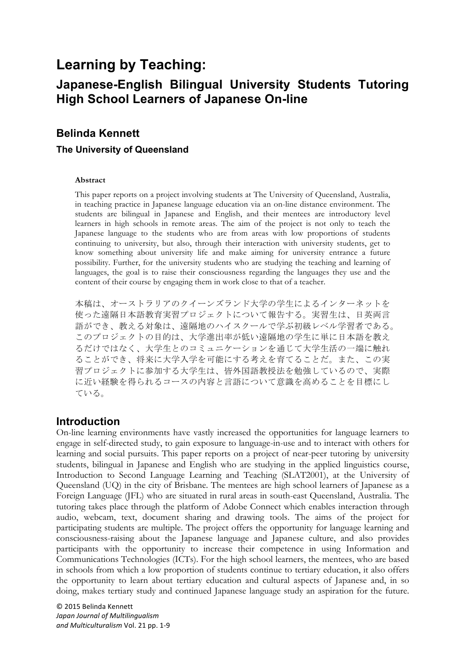# **Learning by Teaching:**

## **Japanese-English Bilingual University Students Tutoring High School Learners of Japanese On-line**

## **Belinda Kennett**

#### **The University of Queensland**

#### **Abstract**

This paper reports on a project involving students at The University of Queensland, Australia, in teaching practice in Japanese language education via an on-line distance environment. The students are bilingual in Japanese and English, and their mentees are introductory level learners in high schools in remote areas. The aim of the project is not only to teach the Japanese language to the students who are from areas with low proportions of students continuing to university, but also, through their interaction with university students, get to know something about university life and make aiming for university entrance a future possibility. Further, for the university students who are studying the teaching and learning of languages, the goal is to raise their consciousness regarding the languages they use and the content of their course by engaging them in work close to that of a teacher.

本稿は、オーストラリアのクイーンズランド大学の学生によるインターネットを 使った遠隔日本語教育実習プロジェクトについて報告する。実習生は、日英両言 語ができ、教える対象は、遠隔地のハイスクールで学ぶ初級レベル学習者である。 このプロジェクトの目的は、大学進出率が低い遠隔地の学生に単に日本語を教え るだけではなく、大学生とのコミュニケーションを通じて大学生活の一端に触れ ることができ、将来に大学入学を可能にする考えを育てることだ。また、この実 習プロジェクトに参加する大学生は、皆外国語教授法を勉強しているので、実際 に近い経験を得られるコースの内容と言語について意識を高めることを目標にし ている。

### **Introduction**

On-line learning environments have vastly increased the opportunities for language learners to engage in self-directed study, to gain exposure to language-in-use and to interact with others for learning and social pursuits. This paper reports on a project of near-peer tutoring by university students, bilingual in Japanese and English who are studying in the applied linguistics course, Introduction to Second Language Learning and Teaching (SLAT2001), at the University of Queensland (UQ) in the city of Brisbane. The mentees are high school learners of Japanese as a Foreign Language (JFL) who are situated in rural areas in south-east Queensland, Australia. The tutoring takes place through the platform of Adobe Connect which enables interaction through audio, webcam, text, document sharing and drawing tools. The aims of the project for participating students are multiple. The project offers the opportunity for language learning and consciousness-raising about the Japanese language and Japanese culture, and also provides participants with the opportunity to increase their competence in using Information and Communications Technologies (ICTs). For the high school learners, the mentees, who are based in schools from which a low proportion of students continue to tertiary education, it also offers the opportunity to learn about tertiary education and cultural aspects of Japanese and, in so doing, makes tertiary study and continued Japanese language study an aspiration for the future.

© 2015 Belinda Kennett *Japan Journal of Multilingualism*  and Multiculturalism Vol. 21 pp. 1-9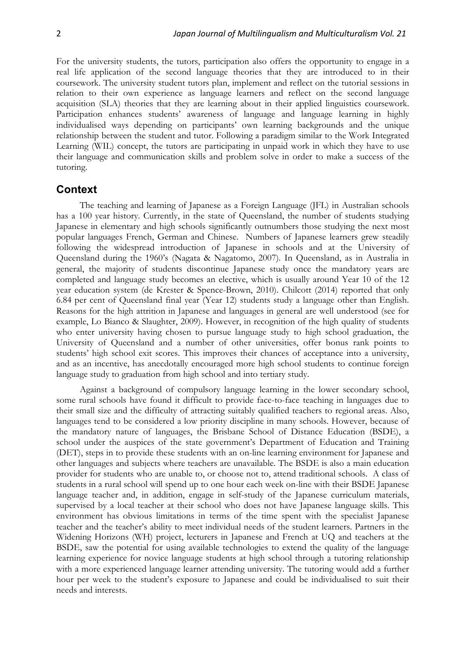For the university students, the tutors, participation also offers the opportunity to engage in a real life application of the second language theories that they are introduced to in their coursework. The university student tutors plan, implement and reflect on the tutorial sessions in relation to their own experience as language learners and reflect on the second language acquisition (SLA) theories that they are learning about in their applied linguistics coursework. Participation enhances students' awareness of language and language learning in highly individualised ways depending on participants' own learning backgrounds and the unique relationship between the student and tutor. Following a paradigm similar to the Work Integrated Learning (WIL) concept, the tutors are participating in unpaid work in which they have to use their language and communication skills and problem solve in order to make a success of the tutoring.

### **Context**

The teaching and learning of Japanese as a Foreign Language (JFL) in Australian schools has a 100 year history. Currently, in the state of Queensland, the number of students studying Japanese in elementary and high schools significantly outnumbers those studying the next most popular languages French, German and Chinese. Numbers of Japanese learners grew steadily following the widespread introduction of Japanese in schools and at the University of Queensland during the 1960's (Nagata & Nagatomo, 2007). In Queensland, as in Australia in general, the majority of students discontinue Japanese study once the mandatory years are completed and language study becomes an elective, which is usually around Year 10 of the 12 year education system (de Krester & Spence-Brown, 2010). Chilcott (2014) reported that only 6.84 per cent of Queensland final year (Year 12) students study a language other than English. Reasons for the high attrition in Japanese and languages in general are well understood (see for example, Lo Bianco & Slaughter, 2009). However, in recognition of the high quality of students who enter university having chosen to pursue language study to high school graduation, the University of Queensland and a number of other universities, offer bonus rank points to students' high school exit scores. This improves their chances of acceptance into a university, and as an incentive, has anecdotally encouraged more high school students to continue foreign language study to graduation from high school and into tertiary study.

Against a background of compulsory language learning in the lower secondary school, some rural schools have found it difficult to provide face-to-face teaching in languages due to their small size and the difficulty of attracting suitably qualified teachers to regional areas. Also, languages tend to be considered a low priority discipline in many schools. However, because of the mandatory nature of languages, the Brisbane School of Distance Education (BSDE), a school under the auspices of the state government's Department of Education and Training (DET), steps in to provide these students with an on-line learning environment for Japanese and other languages and subjects where teachers are unavailable. The BSDE is also a main education provider for students who are unable to, or choose not to, attend traditional schools. A class of students in a rural school will spend up to one hour each week on-line with their BSDE Japanese language teacher and, in addition, engage in self-study of the Japanese curriculum materials, supervised by a local teacher at their school who does not have Japanese language skills. This environment has obvious limitations in terms of the time spent with the specialist Japanese teacher and the teacher's ability to meet individual needs of the student learners. Partners in the Widening Horizons (WH) project, lecturers in Japanese and French at UQ and teachers at the BSDE, saw the potential for using available technologies to extend the quality of the language learning experience for novice language students at high school through a tutoring relationship with a more experienced language learner attending university. The tutoring would add a further hour per week to the student's exposure to Japanese and could be individualised to suit their needs and interests.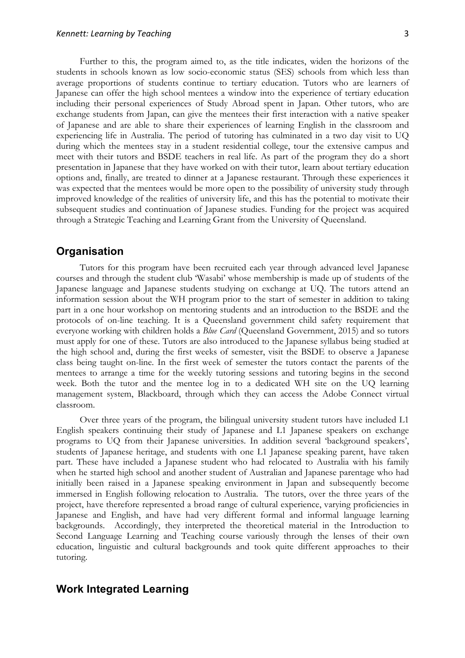Further to this, the program aimed to, as the title indicates, widen the horizons of the students in schools known as low socio-economic status (SES) schools from which less than average proportions of students continue to tertiary education. Tutors who are learners of Japanese can offer the high school mentees a window into the experience of tertiary education including their personal experiences of Study Abroad spent in Japan. Other tutors, who are exchange students from Japan, can give the mentees their first interaction with a native speaker of Japanese and are able to share their experiences of learning English in the classroom and experiencing life in Australia. The period of tutoring has culminated in a two day visit to UQ during which the mentees stay in a student residential college, tour the extensive campus and meet with their tutors and BSDE teachers in real life. As part of the program they do a short presentation in Japanese that they have worked on with their tutor, learn about tertiary education options and, finally, are treated to dinner at a Japanese restaurant. Through these experiences it was expected that the mentees would be more open to the possibility of university study through improved knowledge of the realities of university life, and this has the potential to motivate their

subsequent studies and continuation of Japanese studies. Funding for the project was acquired

through a Strategic Teaching and Learning Grant from the University of Queensland.

#### **Organisation**

Tutors for this program have been recruited each year through advanced level Japanese courses and through the student club 'Wasabi' whose membership is made up of students of the Japanese language and Japanese students studying on exchange at UQ. The tutors attend an information session about the WH program prior to the start of semester in addition to taking part in a one hour workshop on mentoring students and an introduction to the BSDE and the protocols of on-line teaching. It is a Queensland government child safety requirement that everyone working with children holds a *Blue Card* (Queensland Government, 2015) and so tutors must apply for one of these. Tutors are also introduced to the Japanese syllabus being studied at the high school and, during the first weeks of semester, visit the BSDE to observe a Japanese class being taught on-line. In the first week of semester the tutors contact the parents of the mentees to arrange a time for the weekly tutoring sessions and tutoring begins in the second week. Both the tutor and the mentee log in to a dedicated WH site on the UQ learning management system, Blackboard, through which they can access the Adobe Connect virtual classroom.

Over three years of the program, the bilingual university student tutors have included L1 English speakers continuing their study of Japanese and L1 Japanese speakers on exchange programs to UQ from their Japanese universities. In addition several 'background speakers', students of Japanese heritage, and students with one L1 Japanese speaking parent, have taken part. These have included a Japanese student who had relocated to Australia with his family when he started high school and another student of Australian and Japanese parentage who had initially been raised in a Japanese speaking environment in Japan and subsequently become immersed in English following relocation to Australia. The tutors, over the three years of the project, have therefore represented a broad range of cultural experience, varying proficiencies in Japanese and English, and have had very different formal and informal language learning backgrounds. Accordingly, they interpreted the theoretical material in the Introduction to Second Language Learning and Teaching course variously through the lenses of their own education, linguistic and cultural backgrounds and took quite different approaches to their tutoring.

### **Work Integrated Learning**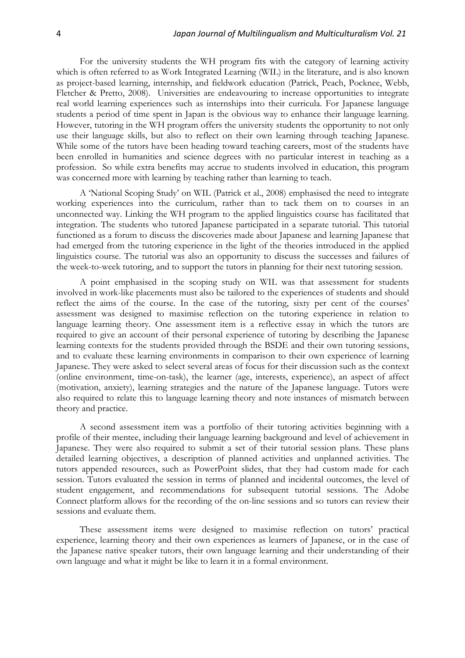For the university students the WH program fits with the category of learning activity which is often referred to as Work Integrated Learning (WIL) in the literature, and is also known as project-based learning, internship, and fieldwork education (Patrick, Peach, Pocknee, Webb, Fletcher & Pretto, 2008). Universities are endeavouring to increase opportunities to integrate real world learning experiences such as internships into their curricula. For Japanese language students a period of time spent in Japan is the obvious way to enhance their language learning. However, tutoring in the WH program offers the university students the opportunity to not only use their language skills, but also to reflect on their own learning through teaching Japanese. While some of the tutors have been heading toward teaching careers, most of the students have been enrolled in humanities and science degrees with no particular interest in teaching as a profession. So while extra benefits may accrue to students involved in education, this program was concerned more with learning by teaching rather than learning to teach.

A 'National Scoping Study' on WIL (Patrick et al., 2008) emphasised the need to integrate working experiences into the curriculum, rather than to tack them on to courses in an unconnected way. Linking the WH program to the applied linguistics course has facilitated that integration. The students who tutored Japanese participated in a separate tutorial. This tutorial functioned as a forum to discuss the discoveries made about Japanese and learning Japanese that had emerged from the tutoring experience in the light of the theories introduced in the applied linguistics course. The tutorial was also an opportunity to discuss the successes and failures of the week-to-week tutoring, and to support the tutors in planning for their next tutoring session.

A point emphasised in the scoping study on WIL was that assessment for students involved in work-like placements must also be tailored to the experiences of students and should reflect the aims of the course. In the case of the tutoring, sixty per cent of the courses' assessment was designed to maximise reflection on the tutoring experience in relation to language learning theory. One assessment item is a reflective essay in which the tutors are required to give an account of their personal experience of tutoring by describing the Japanese learning contexts for the students provided through the BSDE and their own tutoring sessions, and to evaluate these learning environments in comparison to their own experience of learning Japanese. They were asked to select several areas of focus for their discussion such as the context (online environment, time-on-task), the learner (age, interests, experience), an aspect of affect (motivation, anxiety), learning strategies and the nature of the Japanese language. Tutors were also required to relate this to language learning theory and note instances of mismatch between theory and practice.

A second assessment item was a portfolio of their tutoring activities beginning with a profile of their mentee, including their language learning background and level of achievement in Japanese. They were also required to submit a set of their tutorial session plans. These plans detailed learning objectives, a description of planned activities and unplanned activities. The tutors appended resources, such as PowerPoint slides, that they had custom made for each session. Tutors evaluated the session in terms of planned and incidental outcomes, the level of student engagement, and recommendations for subsequent tutorial sessions. The Adobe Connect platform allows for the recording of the on-line sessions and so tutors can review their sessions and evaluate them.

These assessment items were designed to maximise reflection on tutors' practical experience, learning theory and their own experiences as learners of Japanese, or in the case of the Japanese native speaker tutors, their own language learning and their understanding of their own language and what it might be like to learn it in a formal environment.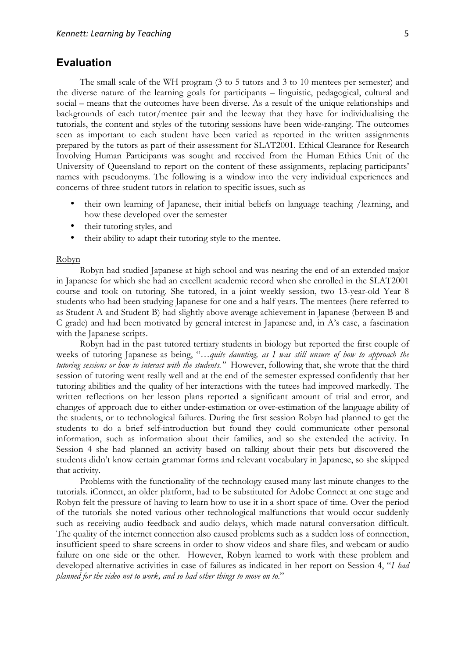### **Evaluation**

The small scale of the WH program (3 to 5 tutors and 3 to 10 mentees per semester) and the diverse nature of the learning goals for participants – linguistic, pedagogical, cultural and social – means that the outcomes have been diverse. As a result of the unique relationships and backgrounds of each tutor/mentee pair and the leeway that they have for individualising the tutorials, the content and styles of the tutoring sessions have been wide-ranging. The outcomes seen as important to each student have been varied as reported in the written assignments prepared by the tutors as part of their assessment for SLAT2001. Ethical Clearance for Research Involving Human Participants was sought and received from the Human Ethics Unit of the University of Queensland to report on the content of these assignments, replacing participants' names with pseudonyms. The following is a window into the very individual experiences and concerns of three student tutors in relation to specific issues, such as

- their own learning of Japanese, their initial beliefs on language teaching /learning, and how these developed over the semester
- their tutoring styles, and
- their ability to adapt their tutoring style to the mentee.

#### Robyn

Robyn had studied Japanese at high school and was nearing the end of an extended major in Japanese for which she had an excellent academic record when she enrolled in the SLAT2001 course and took on tutoring. She tutored, in a joint weekly session, two 13-year-old Year 8 students who had been studying Japanese for one and a half years. The mentees (here referred to as Student A and Student B) had slightly above average achievement in Japanese (between B and C grade) and had been motivated by general interest in Japanese and, in A's case, a fascination with the Japanese scripts.

Robyn had in the past tutored tertiary students in biology but reported the first couple of weeks of tutoring Japanese as being, "…*quite daunting, as I was still unsure of how to approach the tutoring sessions or how to interact with the students."* However, following that, she wrote that the third session of tutoring went really well and at the end of the semester expressed confidently that her tutoring abilities and the quality of her interactions with the tutees had improved markedly. The written reflections on her lesson plans reported a significant amount of trial and error, and changes of approach due to either under-estimation or over-estimation of the language ability of the students, or to technological failures. During the first session Robyn had planned to get the students to do a brief self-introduction but found they could communicate other personal information, such as information about their families, and so she extended the activity. In Session 4 she had planned an activity based on talking about their pets but discovered the students didn't know certain grammar forms and relevant vocabulary in Japanese, so she skipped that activity.

Problems with the functionality of the technology caused many last minute changes to the tutorials. iConnect, an older platform, had to be substituted for Adobe Connect at one stage and Robyn felt the pressure of having to learn how to use it in a short space of time. Over the period of the tutorials she noted various other technological malfunctions that would occur suddenly such as receiving audio feedback and audio delays, which made natural conversation difficult. The quality of the internet connection also caused problems such as a sudden loss of connection, insufficient speed to share screens in order to show videos and share files, and webcam or audio failure on one side or the other. However, Robyn learned to work with these problem and developed alternative activities in case of failures as indicated in her report on Session 4, "*I had planned for the video not to work, and so had other things to move on to*."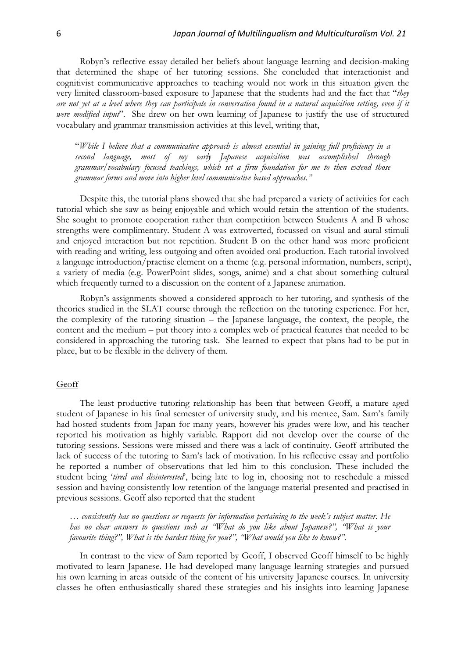Robyn's reflective essay detailed her beliefs about language learning and decision-making that determined the shape of her tutoring sessions. She concluded that interactionist and cognitivist communicative approaches to teaching would not work in this situation given the very limited classroom-based exposure to Japanese that the students had and the fact that "*they are not yet at a level where they can participate in conversation found in a natural acquisition setting, even if it were modified input*". She drew on her own learning of Japanese to justify the use of structured vocabulary and grammar transmission activities at this level, writing that,

"*While I believe that a communicative approach is almost essential in gaining full proficiency in a second language, most of my early Japanese acquisition was accomplished through grammar/vocabulary focused teachings, which set a firm foundation for me to then extend those grammar forms and move into higher level communicative based approaches."*

Despite this, the tutorial plans showed that she had prepared a variety of activities for each tutorial which she saw as being enjoyable and which would retain the attention of the students. She sought to promote cooperation rather than competition between Students A and B whose strengths were complimentary. Student A was extroverted, focussed on visual and aural stimuli and enjoyed interaction but not repetition. Student B on the other hand was more proficient with reading and writing, less outgoing and often avoided oral production. Each tutorial involved a language introduction/practise element on a theme (e.g. personal information, numbers, script), a variety of media (e.g. PowerPoint slides, songs, anime) and a chat about something cultural which frequently turned to a discussion on the content of a Japanese animation.

Robyn's assignments showed a considered approach to her tutoring, and synthesis of the theories studied in the SLAT course through the reflection on the tutoring experience. For her, the complexity of the tutoring situation – the Japanese language, the context, the people, the content and the medium – put theory into a complex web of practical features that needed to be considered in approaching the tutoring task. She learned to expect that plans had to be put in place, but to be flexible in the delivery of them.

#### Geoff

The least productive tutoring relationship has been that between Geoff, a mature aged student of Japanese in his final semester of university study, and his mentee, Sam. Sam's family had hosted students from Japan for many years, however his grades were low, and his teacher reported his motivation as highly variable. Rapport did not develop over the course of the tutoring sessions. Sessions were missed and there was a lack of continuity. Geoff attributed the lack of success of the tutoring to Sam's lack of motivation. In his reflective essay and portfolio he reported a number of observations that led him to this conclusion. These included the student being '*tired and disinterested*', being late to log in, choosing not to reschedule a missed session and having consistently low retention of the language material presented and practised in previous sessions. Geoff also reported that the student

*… consistently has no questions or requests for information pertaining to the week's subject matter. He has no clear answers to questions such as "What do you like about Japanese?", "What is your favourite thing?", What is the hardest thing for you?", "What would you like to know?".*

In contrast to the view of Sam reported by Geoff, I observed Geoff himself to be highly motivated to learn Japanese. He had developed many language learning strategies and pursued his own learning in areas outside of the content of his university Japanese courses. In university classes he often enthusiastically shared these strategies and his insights into learning Japanese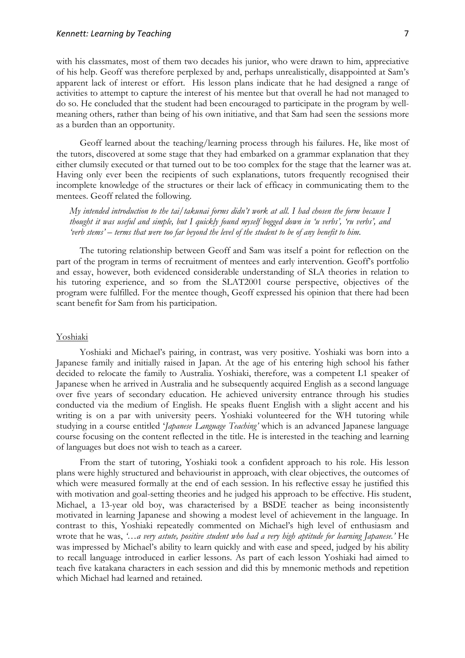#### *Kennett:* Learning by Teaching *7*

with his classmates, most of them two decades his junior, who were drawn to him, appreciative of his help. Geoff was therefore perplexed by and, perhaps unrealistically, disappointed at Sam's apparent lack of interest or effort. His lesson plans indicate that he had designed a range of activities to attempt to capture the interest of his mentee but that overall he had not managed to do so. He concluded that the student had been encouraged to participate in the program by wellmeaning others, rather than being of his own initiative, and that Sam had seen the sessions more as a burden than an opportunity.

Geoff learned about the teaching/learning process through his failures. He, like most of the tutors, discovered at some stage that they had embarked on a grammar explanation that they either clumsily executed or that turned out to be too complex for the stage that the learner was at. Having only ever been the recipients of such explanations, tutors frequently recognised their incomplete knowledge of the structures or their lack of efficacy in communicating them to the mentees. Geoff related the following.

*My intended introduction to the tai/takunai forms didn't work at all. I had chosen the form because I thought it was useful and simple, but I quickly found myself bogged down in 'u verbs', 'ru verbs', and 'verb stems' – terms that were too far beyond the level of the student to be of any benefit to him.* 

The tutoring relationship between Geoff and Sam was itself a point for reflection on the part of the program in terms of recruitment of mentees and early intervention. Geoff's portfolio and essay, however, both evidenced considerable understanding of SLA theories in relation to his tutoring experience, and so from the SLAT2001 course perspective, objectives of the program were fulfilled. For the mentee though, Geoff expressed his opinion that there had been scant benefit for Sam from his participation.

#### Yoshiaki

Yoshiaki and Michael's pairing, in contrast, was very positive. Yoshiaki was born into a Japanese family and initially raised in Japan. At the age of his entering high school his father decided to relocate the family to Australia. Yoshiaki, therefore, was a competent L1 speaker of Japanese when he arrived in Australia and he subsequently acquired English as a second language over five years of secondary education. He achieved university entrance through his studies conducted via the medium of English. He speaks fluent English with a slight accent and his writing is on a par with university peers. Yoshiaki volunteered for the WH tutoring while studying in a course entitled '*Japanese Language Teaching'* which is an advanced Japanese language course focusing on the content reflected in the title. He is interested in the teaching and learning of languages but does not wish to teach as a career.

From the start of tutoring, Yoshiaki took a confident approach to his role. His lesson plans were highly structured and behaviourist in approach, with clear objectives, the outcomes of which were measured formally at the end of each session. In his reflective essay he justified this with motivation and goal-setting theories and he judged his approach to be effective. His student, Michael, a 13-year old boy, was characterised by a BSDE teacher as being inconsistently motivated in learning Japanese and showing a modest level of achievement in the language. In contrast to this, Yoshiaki repeatedly commented on Michael's high level of enthusiasm and wrote that he was, *'…a very astute, positive student who had a very high aptitude for learning Japanese.'* He was impressed by Michael's ability to learn quickly and with ease and speed, judged by his ability to recall language introduced in earlier lessons. As part of each lesson Yoshiaki had aimed to teach five katakana characters in each session and did this by mnemonic methods and repetition which Michael had learned and retained.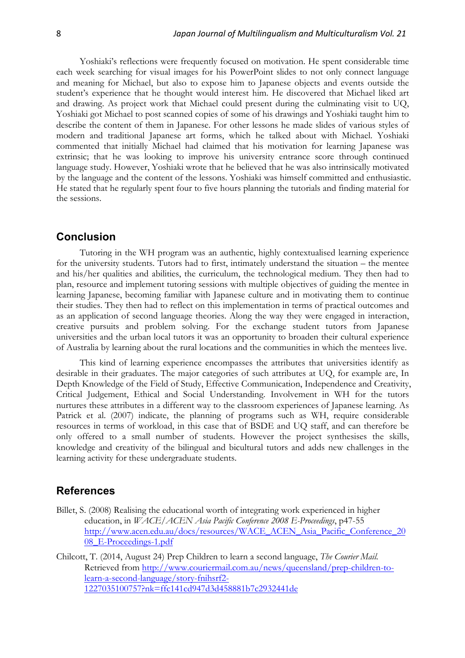Yoshiaki's reflections were frequently focused on motivation. He spent considerable time each week searching for visual images for his PowerPoint slides to not only connect language and meaning for Michael, but also to expose him to Japanese objects and events outside the student's experience that he thought would interest him. He discovered that Michael liked art and drawing. As project work that Michael could present during the culminating visit to UQ, Yoshiaki got Michael to post scanned copies of some of his drawings and Yoshiaki taught him to describe the content of them in Japanese. For other lessons he made slides of various styles of modern and traditional Japanese art forms, which he talked about with Michael. Yoshiaki commented that initially Michael had claimed that his motivation for learning Japanese was extrinsic; that he was looking to improve his university entrance score through continued language study. However, Yoshiaki wrote that he believed that he was also intrinsically motivated by the language and the content of the lessons. Yoshiaki was himself committed and enthusiastic. He stated that he regularly spent four to five hours planning the tutorials and finding material for the sessions.

### **Conclusion**

Tutoring in the WH program was an authentic, highly contextualised learning experience for the university students. Tutors had to first, intimately understand the situation – the mentee and his/her qualities and abilities, the curriculum, the technological medium. They then had to plan, resource and implement tutoring sessions with multiple objectives of guiding the mentee in learning Japanese, becoming familiar with Japanese culture and in motivating them to continue their studies. They then had to reflect on this implementation in terms of practical outcomes and as an application of second language theories. Along the way they were engaged in interaction, creative pursuits and problem solving. For the exchange student tutors from Japanese universities and the urban local tutors it was an opportunity to broaden their cultural experience of Australia by learning about the rural locations and the communities in which the mentees live.

This kind of learning experience encompasses the attributes that universities identify as desirable in their graduates. The major categories of such attributes at UQ, for example are, In Depth Knowledge of the Field of Study, Effective Communication, Independence and Creativity, Critical Judgement, Ethical and Social Understanding. Involvement in WH for the tutors nurtures these attributes in a different way to the classroom experiences of Japanese learning. As Patrick et al. (2007) indicate, the planning of programs such as WH, require considerable resources in terms of workload, in this case that of BSDE and UQ staff, and can therefore be only offered to a small number of students. However the project synthesises the skills, knowledge and creativity of the bilingual and bicultural tutors and adds new challenges in the learning activity for these undergraduate students.

#### **References**

- Billet, S. (2008) Realising the educational worth of integrating work experienced in higher education, in *WACE/ACEN Asia Pacific Conference 2008 E-Proceedings*, p47-55 http://www.acen.edu.au/docs/resources/WACE\_ACEN\_Asia\_Pacific\_Conference\_20 08\_E-Proceedings-1.pdf
- Chilcott, T. (2014, August 24) Prep Children to learn a second language, *The Courier Mail.*  Retrieved from http://www.couriermail.com.au/news/queensland/prep-children-tolearn-a-second-language/story-fnihsrf2- 1227035100757?nk=ffc141cd947d3d458881b7c2932441de